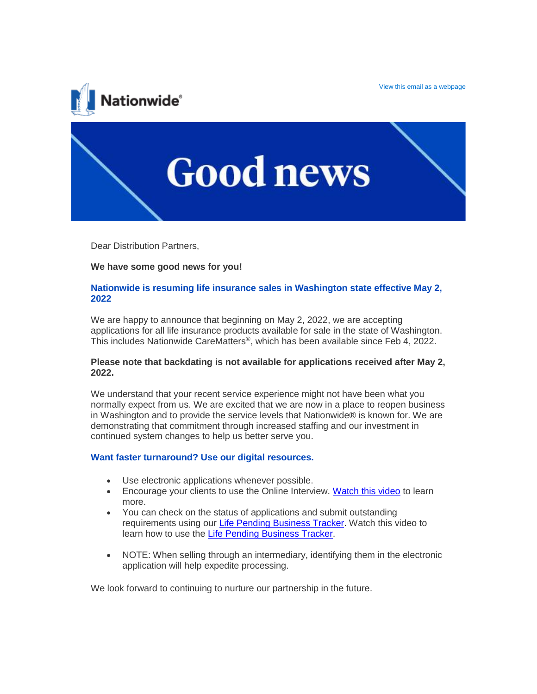



Dear Distribution Partners,

## **We have some good news for you!**

## **Nationwide is resuming life insurance sales in Washington state effective May 2, 2022**

We are happy to announce that beginning on May 2, 2022, we are accepting applications for all life insurance products available for sale in the state of Washington. This includes Nationwide CareMatters®, which has been available since Feb 4, 2022.

## **Please note that backdating is not available for applications received after May 2, 2022.**

We understand that your recent service experience might not have been what you normally expect from us. We are excited that we are now in a place to reopen business in Washington and to provide the service levels that Nationwide® is known for. We are demonstrating that commitment through increased staffing and our investment in continued system changes to help us better serve you.

## **Want faster turnaround? Use our digital resources.**

- Use electronic applications whenever possible.
- Encourage your clients to use the Online Interview. [Watch this video](https://clicktime.symantec.com/3TseFku1NHJSjY1ojBFwzXT7VN?u=http%3A%2F%2Fclick.email-nationwide.com%2F%3Fqs%3Deac019466b6ea9deddeedad6883ae65829e3f0c8ac7810a7b7208d728e09ac2f58ce848910e470c63c456abaf00c7588ce5122f35e55d9c8) to learn more.
- You can check on the status of applications and submit outstanding requirements using our [Life Pending Business Tracker.](https://clicktime.symantec.com/3GvCERkrga84GbRxKYWmKdA7VN?u=http%3A%2F%2Fclick.email-nationwide.com%2F%3Fqs%3Deac019466b6ea9defbcc22becc3a07d6ed0b76aeb4f3e3d632bdbc6e0c40b6f617fa1d2eb96fc172095c0f927f82eef00f0a41ced2699103) Watch this video to learn how to use the [Life Pending Business Tracker.](https://clicktime.symantec.com/3CgVZxiJPypGJdDpAsLX4Uu7VN?u=http%3A%2F%2Fclick.email-nationwide.com%2F%3Fqs%3Deac019466b6ea9decf3e1b59e643769c72079afa615506632855652a140682382612d76195cb9264bf178606d91d3695f4e84277f4f2fa2a)
- NOTE: When selling through an intermediary, identifying them in the electronic application will help expedite processing.

We look forward to continuing to nurture our partnership in the future.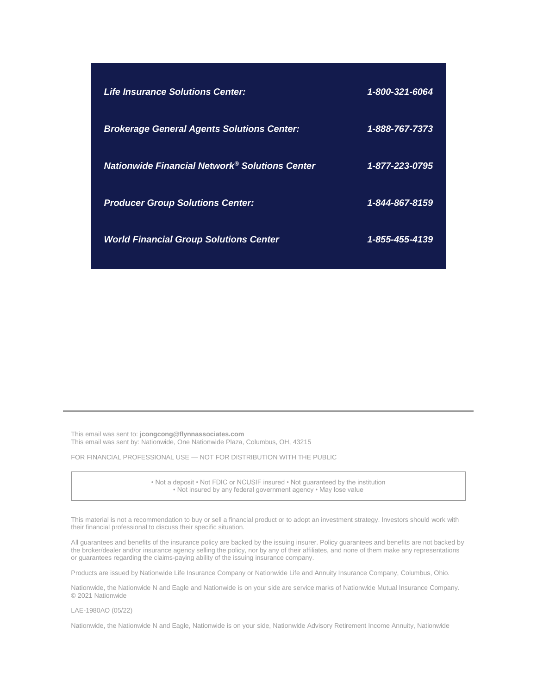| <b>Life Insurance Solutions Center:</b>                    | 1-800-321-6064 |
|------------------------------------------------------------|----------------|
| <b>Brokerage General Agents Solutions Center:</b>          | 1-888-767-7373 |
| Nationwide Financial Network <sup>®</sup> Solutions Center | 1-877-223-0795 |
| <b>Producer Group Solutions Center:</b>                    | 1-844-867-8159 |
| <b>World Financial Group Solutions Center</b>              | 1-855-455-4139 |

This email was sent to: **[jcongcong@flynnassociates.com](mailto:jcongcong@flynnassociates.com)** This email was sent by: Nationwide, One Nationwide Plaza, Columbus, OH, 43215

FOR FINANCIAL PROFESSIONAL USE — NOT FOR DISTRIBUTION WITH THE PUBLIC

• Not a deposit • Not FDIC or NCUSIF insured • Not guaranteed by the institution • Not insured by any federal government agency • May lose value

This material is not a recommendation to buy or sell a financial product or to adopt an investment strategy. Investors should work with their financial professional to discuss their specific situation.

All guarantees and benefits of the insurance policy are backed by the issuing insurer. Policy guarantees and benefits are not backed by the broker/dealer and/or insurance agency selling the policy, nor by any of their affiliates, and none of them make any representations or guarantees regarding the claims-paying ability of the issuing insurance company.

Products are issued by Nationwide Life Insurance Company or Nationwide Life and Annuity Insurance Company, Columbus, Ohio.

Nationwide, the Nationwide N and Eagle and Nationwide is on your side are service marks of Nationwide Mutual Insurance Company. © 2021 Nationwide

LAE-1980AO (05/22)

Nationwide, the Nationwide N and Eagle, Nationwide is on your side, Nationwide Advisory Retirement Income Annuity, Nationwide